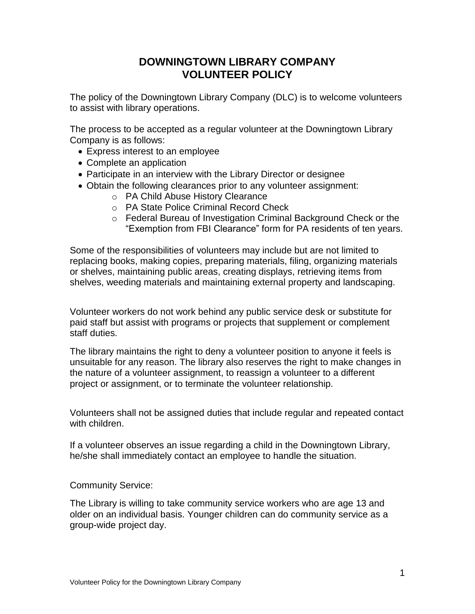## **DOWNINGTOWN LIBRARY COMPANY VOLUNTEER POLICY**

The policy of the Downingtown Library Company (DLC) is to welcome volunteers to assist with library operations.

The process to be accepted as a regular volunteer at the Downingtown Library Company is as follows:

- Express interest to an employee
- Complete an application
- Participate in an interview with the Library Director or designee
- Obtain the following clearances prior to any volunteer assignment:
	- o PA Child Abuse History Clearance
	- o PA State Police Criminal Record Check
	- o Federal Bureau of Investigation Criminal Background Check or the "Exemption from FBI Clearance" form for PA residents of ten years.

Some of the responsibilities of volunteers may include but are not limited to replacing books, making copies, preparing materials, filing, organizing materials or shelves, maintaining public areas, creating displays, retrieving items from shelves, weeding materials and maintaining external property and landscaping.

Volunteer workers do not work behind any public service desk or substitute for paid staff but assist with programs or projects that supplement or complement staff duties.

The library maintains the right to deny a volunteer position to anyone it feels is unsuitable for any reason. The library also reserves the right to make changes in the nature of a volunteer assignment, to reassign a volunteer to a different project or assignment, or to terminate the volunteer relationship.

Volunteers shall not be assigned duties that include regular and repeated contact with children.

If a volunteer observes an issue regarding a child in the Downingtown Library, he/she shall immediately contact an employee to handle the situation.

## Community Service:

The Library is willing to take community service workers who are age 13 and older on an individual basis. Younger children can do community service as a group-wide project day.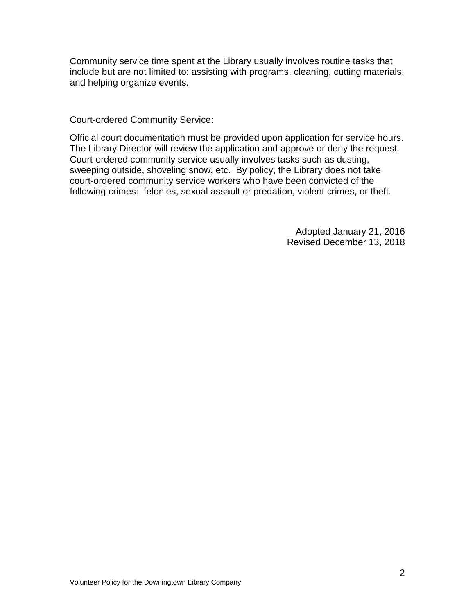Community service time spent at the Library usually involves routine tasks that include but are not limited to: assisting with programs, cleaning, cutting materials, and helping organize events.

Court-ordered Community Service:

Official court documentation must be provided upon application for service hours. The Library Director will review the application and approve or deny the request. Court-ordered community service usually involves tasks such as dusting, sweeping outside, shoveling snow, etc. By policy, the Library does not take court-ordered community service workers who have been convicted of the following crimes: felonies, sexual assault or predation, violent crimes, or theft.

> Adopted January 21, 2016 Revised December 13, 2018